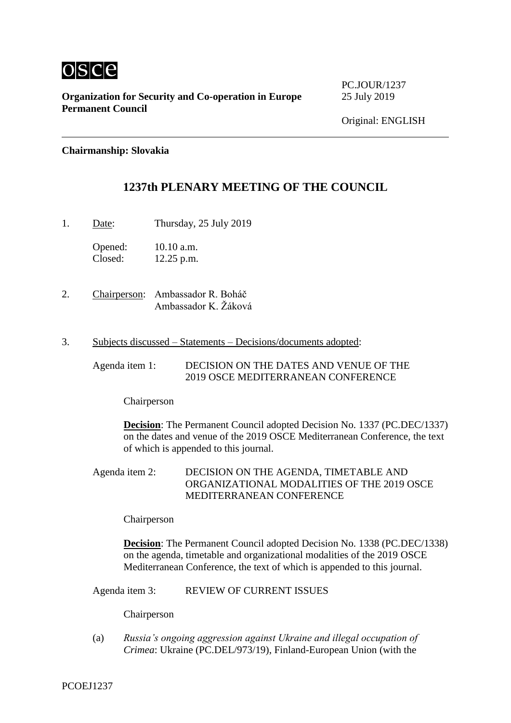

**Organization for Security and Co-operation in Europe** 25 July 2019 **Permanent Council**

PC.JOUR/1237

**Chairmanship: Slovakia**

# **1237th PLENARY MEETING OF THE COUNCIL**

1. Date: Thursday, 25 July 2019

Opened: 10.10 a.m.<br>Closed: 12.25 p.m.  $12.25$  p.m.

- 2. Chairperson: Ambassador R. Boháč Ambassador K. Žáková
- 3. Subjects discussed Statements Decisions/documents adopted:

Agenda item 1: DECISION ON THE DATES AND VENUE OF THE 2019 OSCE MEDITERRANEAN CONFERENCE

Chairperson

**Decision**: The Permanent Council adopted Decision No. 1337 (PC.DEC/1337) on the dates and venue of the 2019 OSCE Mediterranean Conference, the text of which is appended to this journal.

Agenda item 2: DECISION ON THE AGENDA, TIMETABLE AND ORGANIZATIONAL MODALITIES OF THE 2019 OSCE MEDITERRANEAN CONFERENCE

Chairperson

**Decision**: The Permanent Council adopted Decision No. 1338 (PC.DEC/1338) on the agenda, timetable and organizational modalities of the 2019 OSCE Mediterranean Conference, the text of which is appended to this journal.

Agenda item 3: REVIEW OF CURRENT ISSUES

Chairperson

(a) *Russia's ongoing aggression against Ukraine and illegal occupation of Crimea*: Ukraine (PC.DEL/973/19), Finland-European Union (with the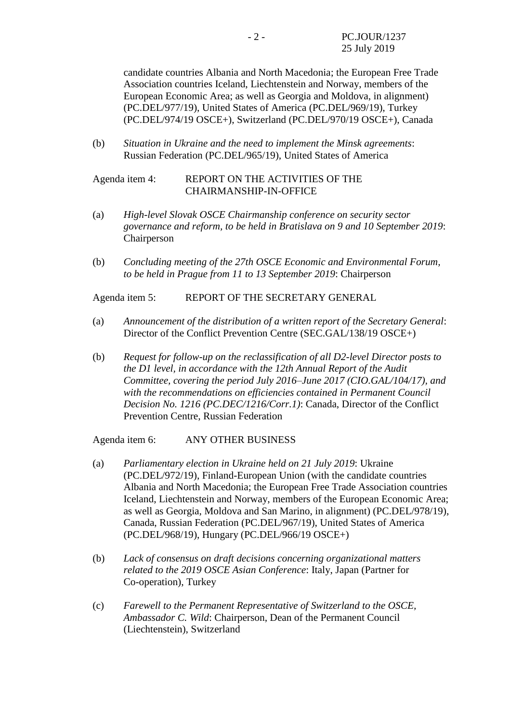candidate countries Albania and North Macedonia; the European Free Trade Association countries Iceland, Liechtenstein and Norway, members of the European Economic Area; as well as Georgia and Moldova, in alignment) (PC.DEL/977/19), United States of America (PC.DEL/969/19), Turkey (PC.DEL/974/19 OSCE+), Switzerland (PC.DEL/970/19 OSCE+), Canada

(b) *Situation in Ukraine and the need to implement the Minsk agreements*: Russian Federation (PC.DEL/965/19), United States of America

Agenda item 4: REPORT ON THE ACTIVITIES OF THE CHAIRMANSHIP-IN-OFFICE

- (a) *High-level Slovak OSCE Chairmanship conference on security sector governance and reform, to be held in Bratislava on 9 and 10 September 2019*: Chairperson
- (b) *Concluding meeting of the 27th OSCE Economic and Environmental Forum, to be held in Prague from 11 to 13 September 2019*: Chairperson

Agenda item 5: REPORT OF THE SECRETARY GENERAL

- (a) *Announcement of the distribution of a written report of the Secretary General*: Director of the Conflict Prevention Centre (SEC.GAL/138/19 OSCE+)
- (b) *Request for follow-up on the reclassification of all D2-level Director posts to the D1 level, in accordance with the 12th Annual Report of the Audit Committee, covering the period July 2016–June 2017 (CIO.GAL/104/17), and with the recommendations on efficiencies contained in Permanent Council Decision No. 1216 (PC.DEC/1216/Corr.1)*: Canada, Director of the Conflict Prevention Centre, Russian Federation

Agenda item 6: ANY OTHER BUSINESS

- (a) *Parliamentary election in Ukraine held on 21 July 2019*: Ukraine (PC.DEL/972/19), Finland-European Union (with the candidate countries Albania and North Macedonia; the European Free Trade Association countries Iceland, Liechtenstein and Norway, members of the European Economic Area; as well as Georgia, Moldova and San Marino, in alignment) (PC.DEL/978/19), Canada, Russian Federation (PC.DEL/967/19), United States of America (PC.DEL/968/19), Hungary (PC.DEL/966/19 OSCE+)
- (b) *Lack of consensus on draft decisions concerning organizational matters related to the 2019 OSCE Asian Conference*: Italy, Japan (Partner for Co-operation), Turkey
- (c) *Farewell to the Permanent Representative of Switzerland to the OSCE, Ambassador C. Wild*: Chairperson, Dean of the Permanent Council (Liechtenstein), Switzerland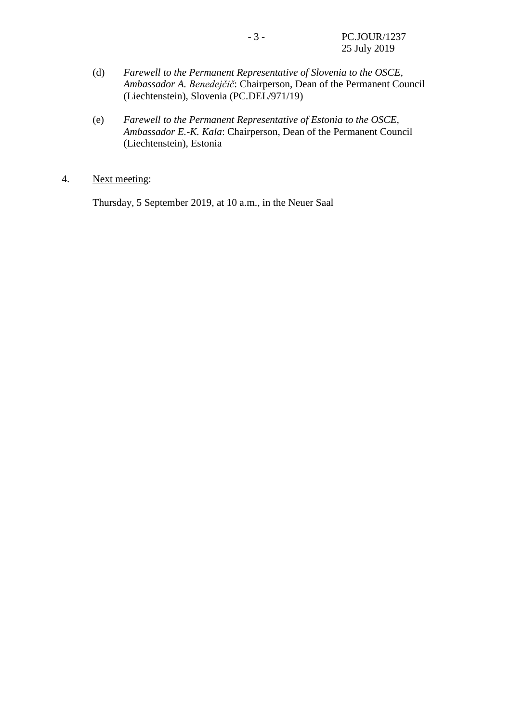- (d) *Farewell to the Permanent Representative of Slovenia to the OSCE, Ambassador A. Benedejčič*: Chairperson, Dean of the Permanent Council (Liechtenstein), Slovenia (PC.DEL/971/19)
- (e) *Farewell to the Permanent Representative of Estonia to the OSCE, Ambassador E.-K. Kala*: Chairperson, Dean of the Permanent Council (Liechtenstein), Estonia
- 4. Next meeting:

Thursday, 5 September 2019, at 10 a.m., in the Neuer Saal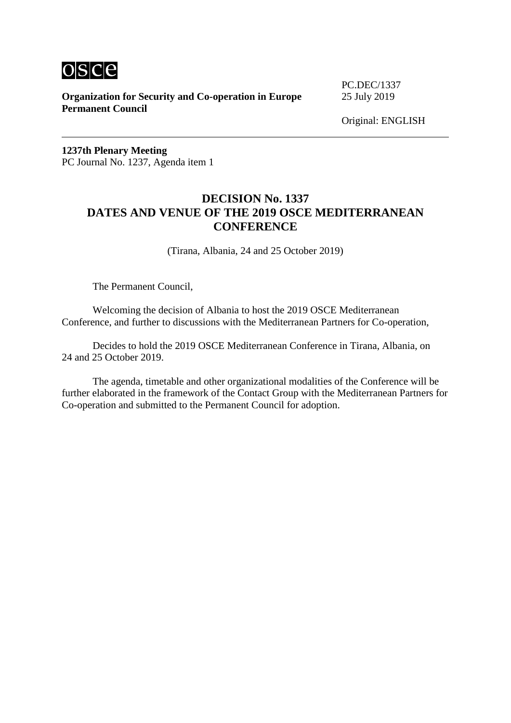

**Organization for Security and Co-operation in Europe** 25 July 2019 **Permanent Council**

PC.DEC/1337

**1237th Plenary Meeting** PC Journal No. 1237, Agenda item 1

## **DECISION No. 1337 DATES AND VENUE OF THE 2019 OSCE MEDITERRANEAN CONFERENCE**

(Tirana, Albania, 24 and 25 October 2019)

The Permanent Council,

Welcoming the decision of Albania to host the 2019 OSCE Mediterranean Conference, and further to discussions with the Mediterranean Partners for Co-operation,

Decides to hold the 2019 OSCE Mediterranean Conference in Tirana, Albania, on 24 and 25 October 2019.

The agenda, timetable and other organizational modalities of the Conference will be further elaborated in the framework of the Contact Group with the Mediterranean Partners for Co-operation and submitted to the Permanent Council for adoption.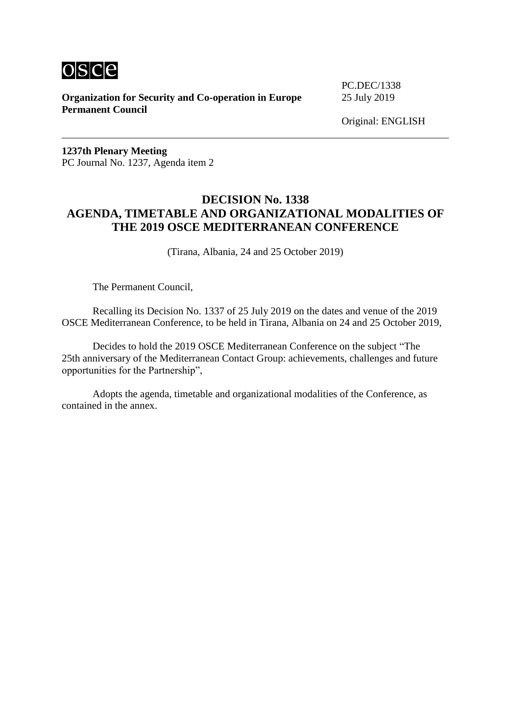

**Organization for Security and Co-operation in Europe** 25 July 2019 **Permanent Council**

PC.DEC/1338

Original: ENGLISH

**1237th Plenary Meeting** PC Journal No. 1237, Agenda item 2

## **DECISION No. 1338 AGENDA, TIMETABLE AND ORGANIZATIONAL MODALITIES OF THE 2019 OSCE MEDITERRANEAN CONFERENCE**

(Tirana, Albania, 24 and 25 October 2019)

The Permanent Council,

Recalling its Decision No. 1337 of 25 July 2019 on the dates and venue of the 2019 OSCE Mediterranean Conference, to be held in Tirana, Albania on 24 and 25 October 2019,

Decides to hold the 2019 OSCE Mediterranean Conference on the subject "The 25th anniversary of the Mediterranean Contact Group: achievements, challenges and future opportunities for the Partnership",

Adopts the agenda, timetable and organizational modalities of the Conference, as contained in the annex.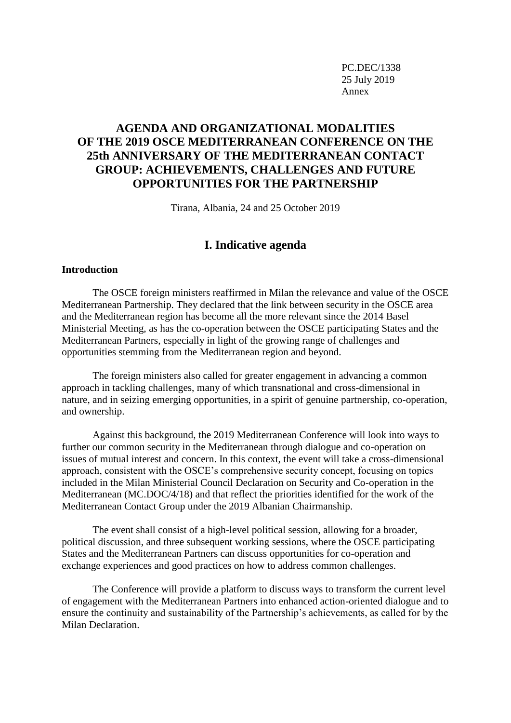PC.DEC/1338 25 July 2019 Annex

# **AGENDA AND ORGANIZATIONAL MODALITIES OF THE 2019 OSCE MEDITERRANEAN CONFERENCE ON THE 25th ANNIVERSARY OF THE MEDITERRANEAN CONTACT GROUP: ACHIEVEMENTS, CHALLENGES AND FUTURE OPPORTUNITIES FOR THE PARTNERSHIP**

Tirana, Albania, 24 and 25 October 2019

#### **I. Indicative agenda**

#### **Introduction**

The OSCE foreign ministers reaffirmed in Milan the relevance and value of the OSCE Mediterranean Partnership. They declared that the link between security in the OSCE area and the Mediterranean region has become all the more relevant since the 2014 Basel Ministerial Meeting, as has the co-operation between the OSCE participating States and the Mediterranean Partners, especially in light of the growing range of challenges and opportunities stemming from the Mediterranean region and beyond.

The foreign ministers also called for greater engagement in advancing a common approach in tackling challenges, many of which transnational and cross-dimensional in nature, and in seizing emerging opportunities, in a spirit of genuine partnership, co-operation, and ownership.

Against this background, the 2019 Mediterranean Conference will look into ways to further our common security in the Mediterranean through dialogue and co-operation on issues of mutual interest and concern. In this context, the event will take a cross-dimensional approach, consistent with the OSCE's comprehensive security concept, focusing on topics included in the Milan Ministerial Council Declaration on Security and Co-operation in the Mediterranean (MC.DOC/4/18) and that reflect the priorities identified for the work of the Mediterranean Contact Group under the 2019 Albanian Chairmanship.

The event shall consist of a high-level political session, allowing for a broader, political discussion, and three subsequent working sessions, where the OSCE participating States and the Mediterranean Partners can discuss opportunities for co-operation and exchange experiences and good practices on how to address common challenges.

The Conference will provide a platform to discuss ways to transform the current level of engagement with the Mediterranean Partners into enhanced action-oriented dialogue and to ensure the continuity and sustainability of the Partnership's achievements, as called for by the Milan Declaration.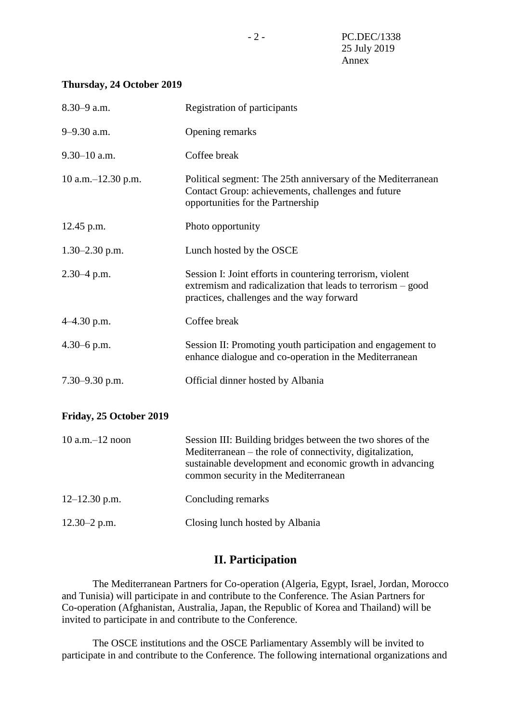#### **Thursday, 24 October 2019**

| 8.30-9 a.m.             | <b>Registration of participants</b>                                                                                                                                                                                          |
|-------------------------|------------------------------------------------------------------------------------------------------------------------------------------------------------------------------------------------------------------------------|
| 9-9.30 a.m.             | Opening remarks                                                                                                                                                                                                              |
| $9.30 - 10$ a.m.        | Coffee break                                                                                                                                                                                                                 |
| 10 a.m. -12.30 p.m.     | Political segment: The 25th anniversary of the Mediterranean<br>Contact Group: achievements, challenges and future<br>opportunities for the Partnership                                                                      |
| $12.45$ p.m.            | Photo opportunity                                                                                                                                                                                                            |
| $1.30 - 2.30$ p.m.      | Lunch hosted by the OSCE                                                                                                                                                                                                     |
| $2.30 - 4$ p.m.         | Session I: Joint efforts in countering terrorism, violent<br>extremism and radicalization that leads to terrorism – good<br>practices, challenges and the way forward                                                        |
| 4-4.30 p.m.             | Coffee break                                                                                                                                                                                                                 |
| $4.30 - 6$ p.m.         | Session II: Promoting youth participation and engagement to<br>enhance dialogue and co-operation in the Mediterranean                                                                                                        |
| $7.30 - 9.30$ p.m.      | Official dinner hosted by Albania                                                                                                                                                                                            |
| Friday, 25 October 2019 |                                                                                                                                                                                                                              |
| $10$ a.m. $-12$ noon    | Session III: Building bridges between the two shores of the<br>Mediterranean – the role of connectivity, digitalization,<br>sustainable development and economic growth in advancing<br>common security in the Mediterranean |
| $12 - 12.30$ p.m.       | Concluding remarks                                                                                                                                                                                                           |
| $12.30 - 2$ p.m.        | Closing lunch hosted by Albania                                                                                                                                                                                              |

# **II. Participation**

The Mediterranean Partners for Co-operation (Algeria, Egypt, Israel, Jordan, Morocco and Tunisia) will participate in and contribute to the Conference. The Asian Partners for Co-operation (Afghanistan, Australia, Japan, the Republic of Korea and Thailand) will be invited to participate in and contribute to the Conference.

The OSCE institutions and the OSCE Parliamentary Assembly will be invited to participate in and contribute to the Conference. The following international organizations and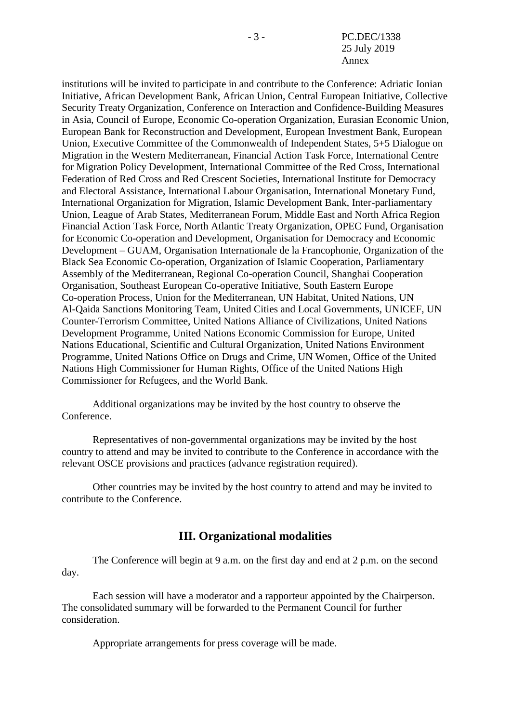- 3 - PC.DEC/1338 25 July 2019 Annex

institutions will be invited to participate in and contribute to the Conference: Adriatic Ionian Initiative, African Development Bank, African Union, Central European Initiative, Collective Security Treaty Organization, Conference on Interaction and Confidence-Building Measures in Asia, Council of Europe, Economic Co-operation Organization, Eurasian Economic Union, European Bank for Reconstruction and Development, European Investment Bank, European Union, Executive Committee of the Commonwealth of Independent States, 5+5 Dialogue on Migration in the Western Mediterranean, Financial Action Task Force, International Centre for Migration Policy Development, International Committee of the Red Cross, International Federation of Red Cross and Red Crescent Societies, International Institute for Democracy and Electoral Assistance, International Labour Organisation, International Monetary Fund, International Organization for Migration, Islamic Development Bank, Inter-parliamentary Union, League of Arab States, Mediterranean Forum, Middle East and North Africa Region Financial Action Task Force, North Atlantic Treaty Organization, OPEC Fund, Organisation for Economic Co-operation and Development, Organisation for Democracy and Economic Development – GUAM, Organisation Internationale de la Francophonie, Organization of the Black Sea Economic Co-operation, Organization of Islamic Cooperation, Parliamentary Assembly of the Mediterranean, Regional Co-operation Council, Shanghai Cooperation Organisation, Southeast European Co-operative Initiative, South Eastern Europe Co-operation Process, Union for the Mediterranean, UN Habitat, United Nations, UN Al-Qaida Sanctions Monitoring Team, United Cities and Local Governments, UNICEF, UN Counter-Terrorism Committee, United Nations Alliance of Civilizations, United Nations Development Programme, United Nations Economic Commission for Europe, United Nations Educational, Scientific and Cultural Organization, United Nations Environment Programme, United Nations Office on Drugs and Crime, UN Women, Office of the United Nations High Commissioner for Human Rights, Office of the United Nations High Commissioner for Refugees, and the World Bank.

Additional organizations may be invited by the host country to observe the Conference.

Representatives of non-governmental organizations may be invited by the host country to attend and may be invited to contribute to the Conference in accordance with the relevant OSCE provisions and practices (advance registration required).

Other countries may be invited by the host country to attend and may be invited to contribute to the Conference.

### **III. Organizational modalities**

The Conference will begin at 9 a.m. on the first day and end at 2 p.m. on the second day.

Each session will have a moderator and a rapporteur appointed by the Chairperson. The consolidated summary will be forwarded to the Permanent Council for further consideration.

Appropriate arrangements for press coverage will be made.